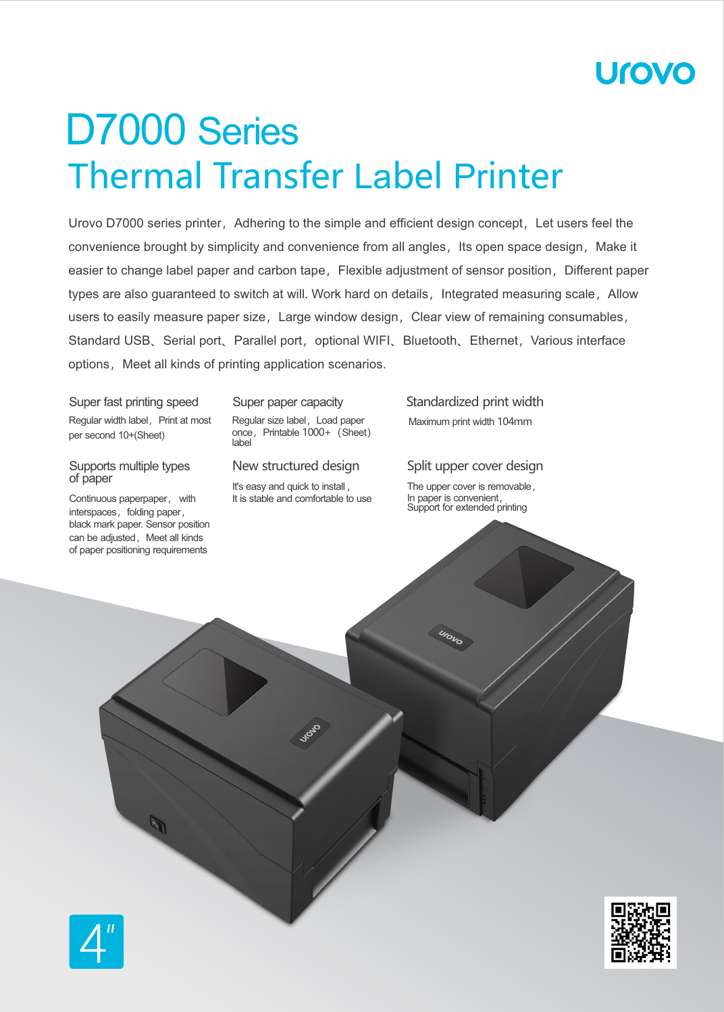# Urovc

# Thermal Transfer Label Printer D7000 Series

Urovo D7000 series printer, Adhering to the simple and efficient design concept, Let users feel the convenience brought by simplicity and convenience from all angles, Its open space design, Make it easier to change label paper and carbon tape, Flexible adjustment of sensor position, Different paper types are also guaranteed to switch at will. Work hard on details, Integrated measuring scale, Allow users to easily measure paper size, Large window design, Clear view of remaining consumables, Standard USB、Serial port、Parallel port, optional WIFI、Bluetooth、Ethernet, Various interface options, Meet all kinds of printing application scenarios.

Super fast printing speed Regular width label, Print at most per second 10+(Sheet)

#### Supports multiple types of paper

Continuous paperpaper, with interspaces, folding paper, black mark paper. Sensor position can be adjusted, Meet all kinds of paper positioning requirements

#### Super paper capacity

Regular size label, Load paper once, Printable 1000+ (Sheet) label

#### New structured design

It's easy and quick to install , It is stable and comfortable to use Standardized print width Maximum print width 104mm

Split upper cover design

The upper cover is removable, In paper is convenient, Support for extended printing